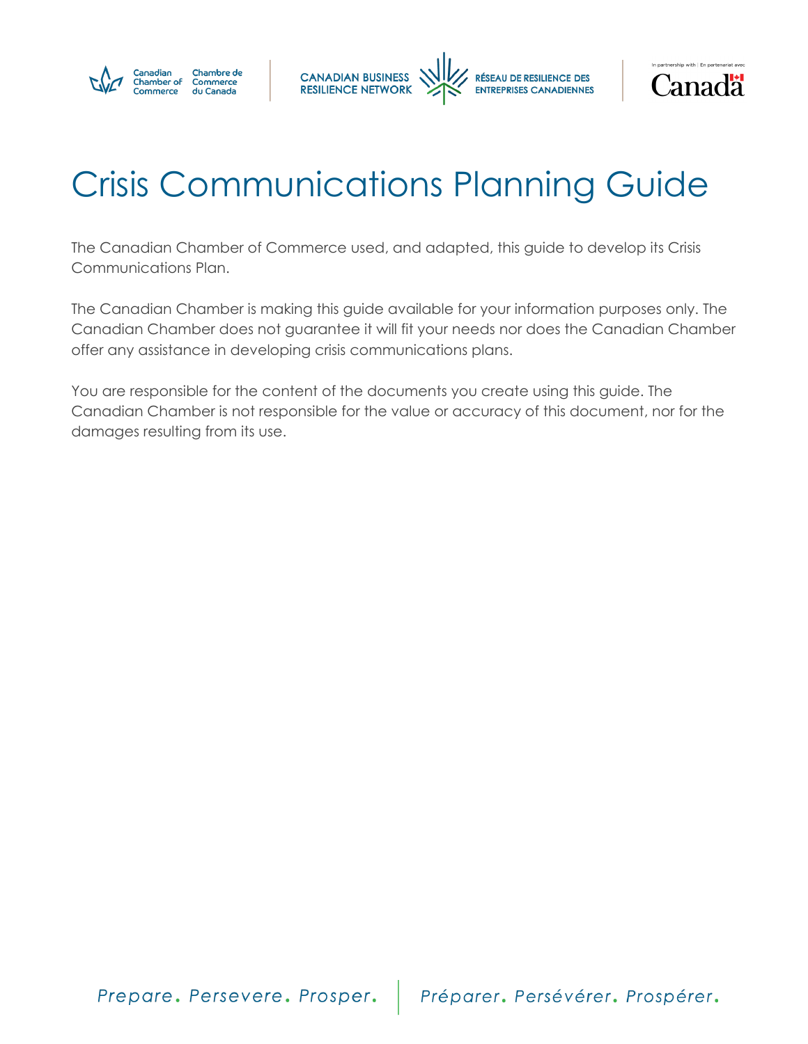





# Crisis Communications Planning Guide

The Canadian Chamber of Commerce used, and adapted, this guide to develop its Crisis Communications Plan.

The Canadian Chamber is making this guide available for your information purposes only. The Canadian Chamber does not guarantee it will fit your needs nor does the Canadian Chamber offer any assistance in developing crisis communications plans.

You are responsible for the content of the documents you create using this guide. The Canadian Chamber is not responsible for the value or accuracy of this document, nor for the damages resulting from its use.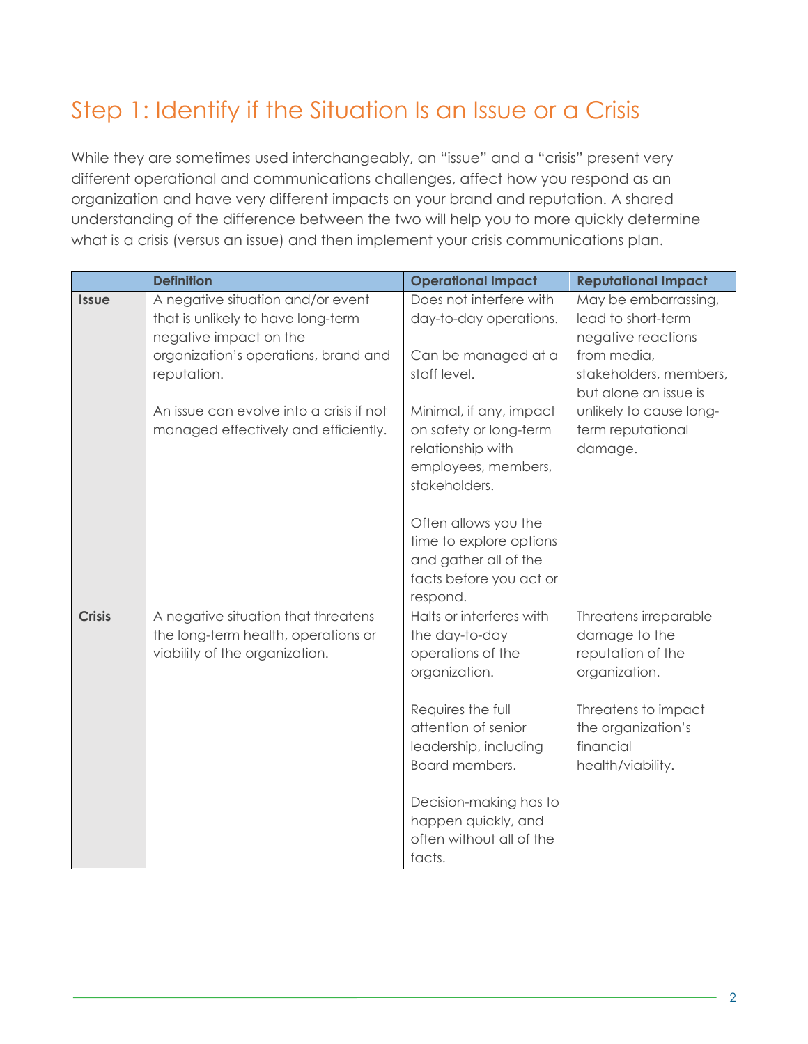### Step 1: Identify if the Situation Is an Issue or a Crisis

While they are sometimes used interchangeably, an "issue" and a "crisis" present very different operational and communications challenges, affect how you respond as an organization and have very different impacts on your brand and reputation. A shared understanding of the difference between the two will help you to more quickly determine what is a crisis (versus an issue) and then implement your crisis communications plan.

|               | <b>Definition</b>                                                                                            | <b>Operational Impact</b>                                                                                       | <b>Reputational Impact</b>                                                                          |
|---------------|--------------------------------------------------------------------------------------------------------------|-----------------------------------------------------------------------------------------------------------------|-----------------------------------------------------------------------------------------------------|
| <b>Issue</b>  | A negative situation and/or event<br>that is unlikely to have long-term<br>negative impact on the            | Does not interfere with<br>day-to-day operations.                                                               | May be embarrassing,<br>lead to short-term<br>negative reactions                                    |
|               | organization's operations, brand and<br>reputation.                                                          | Can be managed at a<br>staff level.                                                                             | from media,<br>stakeholders, members,<br>but alone an issue is                                      |
|               | An issue can evolve into a crisis if not<br>managed effectively and efficiently.                             | Minimal, if any, impact<br>on safety or long-term<br>relationship with<br>employees, members,<br>stakeholders.  | unlikely to cause long-<br>term reputational<br>damage.                                             |
|               |                                                                                                              | Often allows you the<br>time to explore options<br>and gather all of the<br>facts before you act or<br>respond. |                                                                                                     |
| <b>Crisis</b> | A negative situation that threatens<br>the long-term health, operations or<br>viability of the organization. | Halts or interferes with<br>the day-to-day<br>operations of the<br>organization.<br>Requires the full           | Threatens irreparable<br>damage to the<br>reputation of the<br>organization.<br>Threatens to impact |
|               |                                                                                                              | attention of senior<br>leadership, including<br>Board members.                                                  | the organization's<br>financial<br>health/viability.                                                |
|               |                                                                                                              | Decision-making has to<br>happen quickly, and<br>often without all of the<br>facts.                             |                                                                                                     |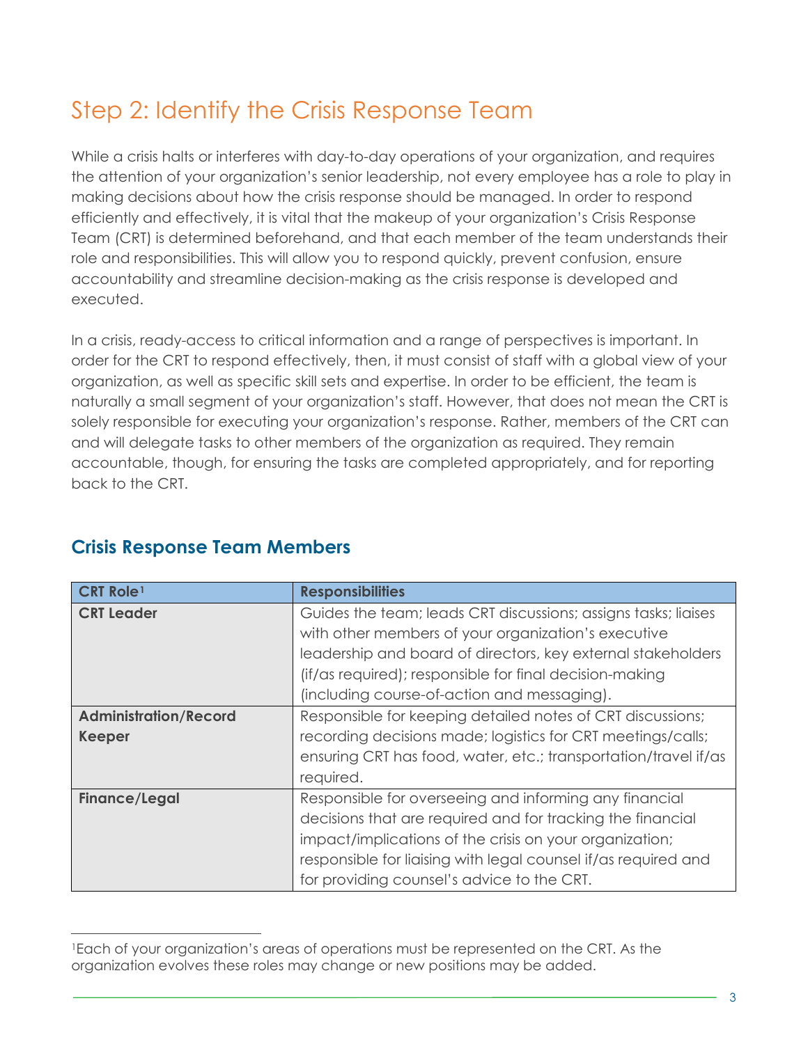### Step 2: Identify the Crisis Response Team

While a crisis halts or interferes with day-to-day operations of your organization, and requires the attention of your organization's senior leadership, not every employee has a role to play in making decisions about how the crisis response should be managed. In order to respond efficiently and effectively, it is vital that the makeup of your organization's Crisis Response Team (CRT) is determined beforehand, and that each member of the team understands their role and responsibilities. This will allow you to respond quickly, prevent confusion, ensure accountability and streamline decision-making as the crisis response is developed and executed.

In a crisis, ready-access to critical information and a range of perspectives is important. In order for the CRT to respond effectively, then, it must consist of staff with a global view of your organization, as well as specific skill sets and expertise. In order to be efficient, the team is naturally a small segment of your organization's staff. However, that does not mean the CRT is solely responsible for executing your organization's response. Rather, members of the CRT can and will delegate tasks to other members of the organization as required. They remain accountable, though, for ensuring the tasks are completed appropriately, and for reporting back to the CRT.

| <b>CRT Role1</b>             | <b>Responsibilities</b>                                         |
|------------------------------|-----------------------------------------------------------------|
| <b>CRT Leader</b>            | Guides the team; leads CRT discussions; assigns tasks; liaises  |
|                              | with other members of your organization's executive             |
|                              | leadership and board of directors, key external stakeholders    |
|                              | (if/as required); responsible for final decision-making         |
|                              | (including course-of-action and messaging).                     |
| <b>Administration/Record</b> | Responsible for keeping detailed notes of CRT discussions;      |
| <b>Keeper</b>                | recording decisions made; logistics for CRT meetings/calls;     |
|                              | ensuring CRT has food, water, etc.; transportation/travel if/as |
|                              | required.                                                       |
| <b>Finance/Legal</b>         | Responsible for overseeing and informing any financial          |
|                              | decisions that are required and for tracking the financial      |
|                              | impact/implications of the crisis on your organization;         |
|                              | responsible for liaising with legal counsel if/as required and  |
|                              | for providing counsel's advice to the CRT.                      |

#### **Crisis Response Team Members**

 $\overline{a}$ 

<span id="page-2-0"></span><sup>1</sup>Each of your organization's areas of operations must be represented on the CRT. As the organization evolves these roles may change or new positions may be added.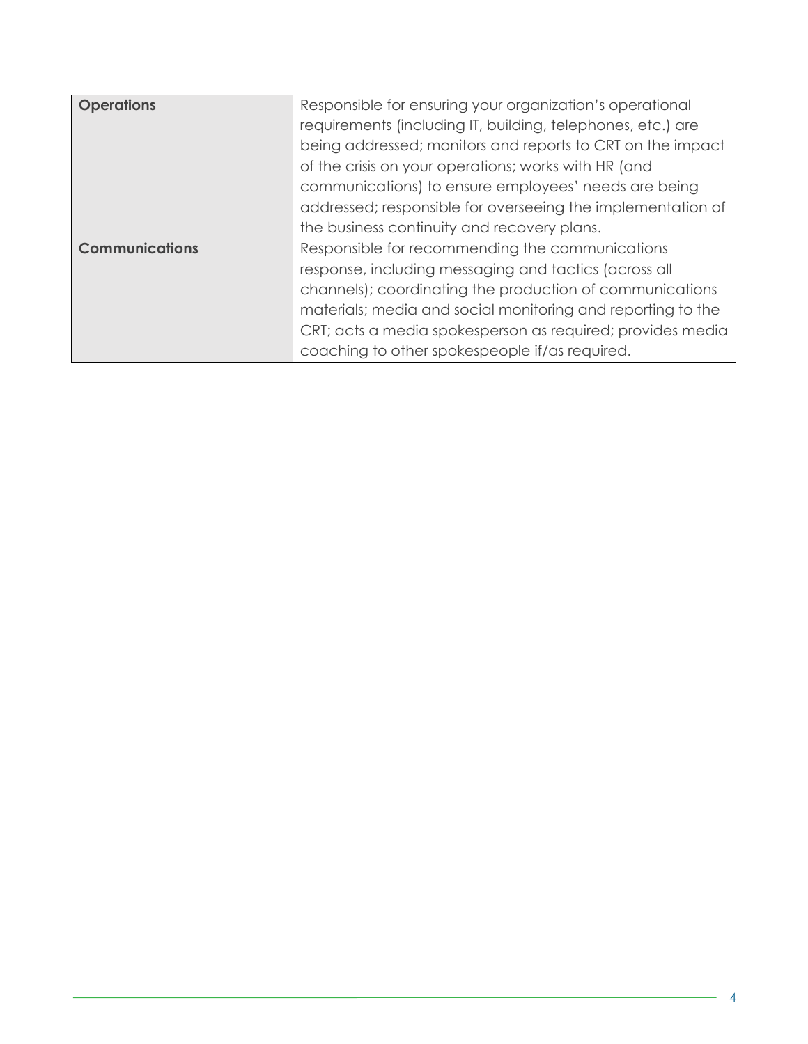| <b>Operations</b>     | Responsible for ensuring your organization's operational    |
|-----------------------|-------------------------------------------------------------|
|                       | requirements (including IT, building, telephones, etc.) are |
|                       | being addressed; monitors and reports to CRT on the impact  |
|                       | of the crisis on your operations; works with HR (and        |
|                       | communications) to ensure employees' needs are being        |
|                       | addressed; responsible for overseeing the implementation of |
|                       | the business continuity and recovery plans.                 |
| <b>Communications</b> | Responsible for recommending the communications             |
|                       | response, including messaging and tactics (across all       |
|                       | channels); coordinating the production of communications    |
|                       | materials; media and social monitoring and reporting to the |
|                       | CRT; acts a media spokesperson as required; provides media  |
|                       | coaching to other spokespeople if/as required.              |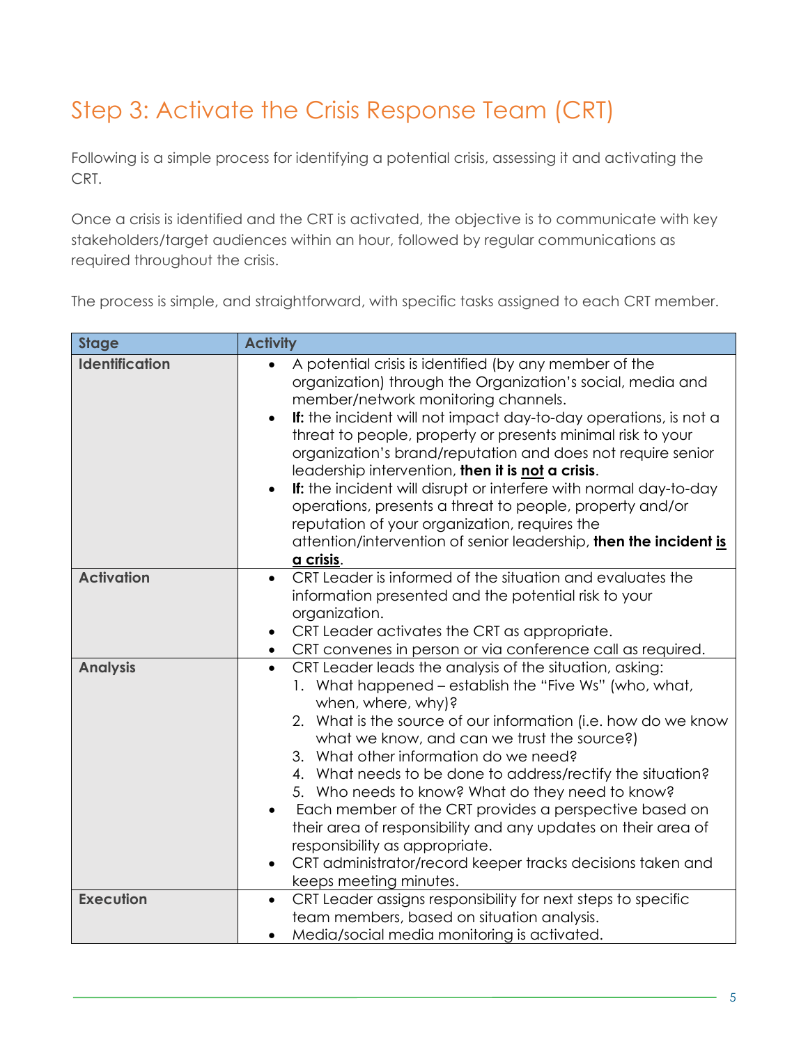## Step 3: Activate the Crisis Response Team (CRT)

Following is a simple process for identifying a potential crisis, assessing it and activating the CRT.

Once a crisis is identified and the CRT is activated, the objective is to communicate with key stakeholders/target audiences within an hour, followed by regular communications as required throughout the crisis.

The process is simple, and straightforward, with specific tasks assigned to each CRT member.

| <b>Stage</b>          | <b>Activity</b>                                                                                                                                                                                                                                                                                                                                                                                                                                                                                                                                                                                                                                                                                                               |
|-----------------------|-------------------------------------------------------------------------------------------------------------------------------------------------------------------------------------------------------------------------------------------------------------------------------------------------------------------------------------------------------------------------------------------------------------------------------------------------------------------------------------------------------------------------------------------------------------------------------------------------------------------------------------------------------------------------------------------------------------------------------|
| <b>Identification</b> | A potential crisis is identified (by any member of the<br>$\bullet$<br>organization) through the Organization's social, media and<br>member/network monitoring channels.<br>If: the incident will not impact day-to-day operations, is not a<br>$\bullet$<br>threat to people, property or presents minimal risk to your<br>organization's brand/reputation and does not require senior<br>leadership intervention, then it is not a crisis.<br>If: the incident will disrupt or interfere with normal day-to-day<br>$\bullet$<br>operations, presents a threat to people, property and/or<br>reputation of your organization, requires the<br>attention/intervention of senior leadership, then the incident is<br>a crisis. |
| <b>Activation</b>     | CRT Leader is informed of the situation and evaluates the<br>information presented and the potential risk to your<br>organization.<br>CRT Leader activates the CRT as appropriate.<br>$\bullet$<br>CRT convenes in person or via conference call as required.                                                                                                                                                                                                                                                                                                                                                                                                                                                                 |
| <b>Analysis</b>       | CRT Leader leads the analysis of the situation, asking:<br>$\bullet$<br>1. What happened - establish the "Five Ws" (who, what,<br>when, where, why)?<br>2. What is the source of our information (i.e. how do we know<br>what we know, and can we trust the source?)<br>3. What other information do we need?<br>4. What needs to be done to address/rectify the situation?<br>5. Who needs to know? What do they need to know?<br>Each member of the CRT provides a perspective based on<br>$\bullet$<br>their area of responsibility and any updates on their area of<br>responsibility as appropriate.<br>CRT administrator/record keeper tracks decisions taken and<br>$\bullet$<br>keeps meeting minutes.                |
| <b>Execution</b>      | CRT Leader assigns responsibility for next steps to specific<br>$\bullet$<br>team members, based on situation analysis.<br>Media/social media monitoring is activated.<br>$\bullet$                                                                                                                                                                                                                                                                                                                                                                                                                                                                                                                                           |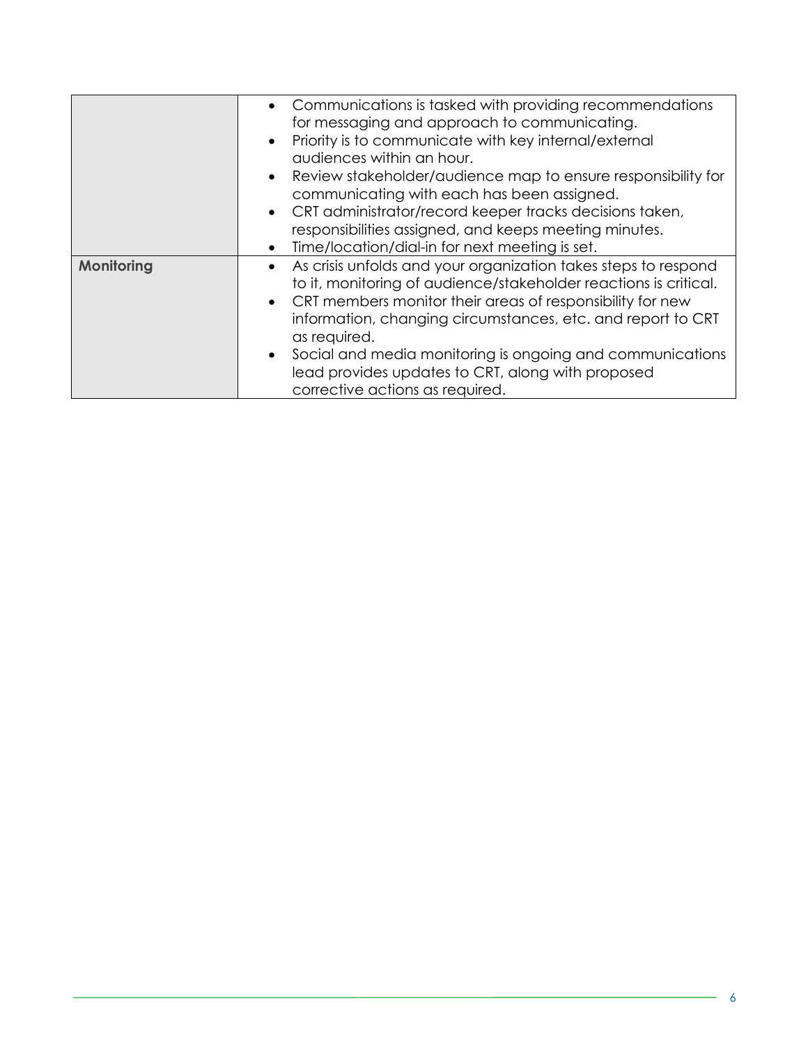|            | • Communications is tasked with providing recommendations<br>for messaging and approach to communicating.<br>Priority is to communicate with key internal/external<br>$\bullet$<br>audiences within an hour.<br>Review stakeholder/audience map to ensure responsibility for<br>$\bullet$<br>communicating with each has been assigned. |
|------------|-----------------------------------------------------------------------------------------------------------------------------------------------------------------------------------------------------------------------------------------------------------------------------------------------------------------------------------------|
|            |                                                                                                                                                                                                                                                                                                                                         |
|            | CRT administrator/record keeper tracks decisions taken,<br>$\bullet$                                                                                                                                                                                                                                                                    |
|            | responsibilities assigned, and keeps meeting minutes.                                                                                                                                                                                                                                                                                   |
|            | Time/location/dial-in for next meeting is set.<br>$\bullet$                                                                                                                                                                                                                                                                             |
| Monitoring | As crisis unfolds and your organization takes steps to respond<br>$\bullet$<br>to it, monitoring of audience/stakeholder reactions is critical.                                                                                                                                                                                         |
|            | CRT members monitor their areas of responsibility for new<br>$\bullet$                                                                                                                                                                                                                                                                  |
|            | information, changing circumstances, etc. and report to CRT<br>as required.                                                                                                                                                                                                                                                             |
|            | Social and media monitoring is ongoing and communications<br>$\bullet$<br>lead provides updates to CRT, along with proposed<br>corrective actions as required.                                                                                                                                                                          |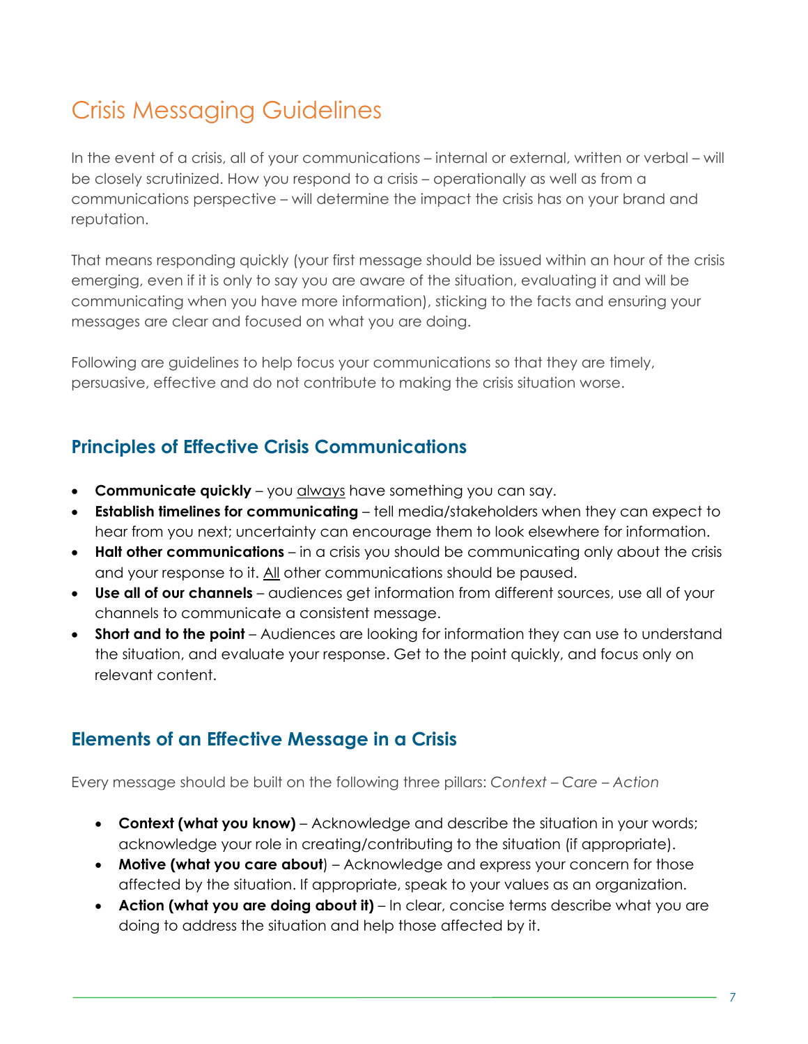### Crisis Messaging Guidelines

In the event of a crisis, all of your communications – internal or external, written or verbal – will be closely scrutinized. How you respond to a crisis – operationally as well as from a communications perspective – will determine the impact the crisis has on your brand and reputation.

That means responding quickly (your first message should be issued within an hour of the crisis emerging, even if it is only to say you are aware of the situation, evaluating it and will be communicating when you have more information), sticking to the facts and ensuring your messages are clear and focused on what you are doing.

Following are guidelines to help focus your communications so that they are timely, persuasive, effective and do not contribute to making the crisis situation worse.

#### **Principles of Effective Crisis Communications**

- **Communicate quickly** you always have something you can say.
- **Establish timelines for communicating** tell media/stakeholders when they can expect to hear from you next; uncertainty can encourage them to look elsewhere for information.
- **Halt other communications** in a crisis you should be communicating only about the crisis and your response to it. All other communications should be paused.
- **Use all of our channels** audiences get information from different sources, use all of your channels to communicate a consistent message.
- **Short and to the point** Audiences are looking for information they can use to understand the situation, and evaluate your response. Get to the point quickly, and focus only on relevant content.

#### **Elements of an Effective Message in a Crisis**

Every message should be built on the following three pillars: *Context – Care – Action*

- **Context (what you know)** Acknowledge and describe the situation in your words; acknowledge your role in creating/contributing to the situation (if appropriate).
- **Motive (what you care about**) Acknowledge and express your concern for those affected by the situation. If appropriate, speak to your values as an organization.
- **Action (what you are doing about it)** In clear, concise terms describe what you are doing to address the situation and help those affected by it.